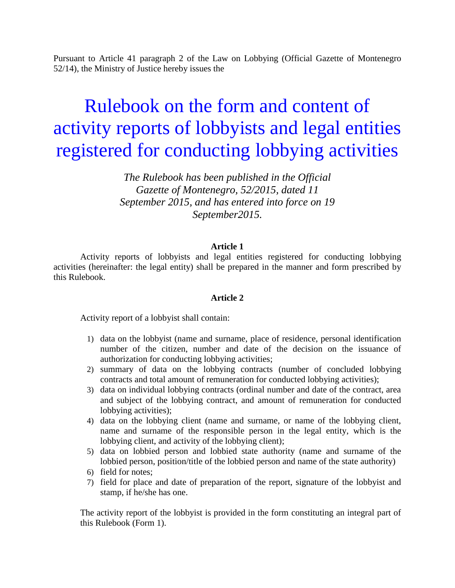Pursuant to Article 41 paragraph 2 of the Law on Lobbying (Official Gazette of Montenegro 52/14), the Ministry of Justice hereby issues the

# Rulebook on the form and content of activity reports of lobbyists and legal entities registered for conducting lobbying activities

*The Rulebook has been published in the Official Gazette of Montenegro, 52/2015, dated 11 September 2015, and has entered into force on 19 September2015.*

## **Article 1**

 Activity reports of lobbyists and legal entities registered for conducting lobbying activities (hereinafter: the legal entity) shall be prepared in the manner and form prescribed by this Rulebook.

## **Article 2**

Activity report of a lobbyist shall contain:

- 1) data on the lobbyist (name and surname, place of residence, personal identification number of the citizen, number and date of the decision on the issuance of authorization for conducting lobbying activities;
- 2) summary of data on the lobbying contracts (number of concluded lobbying contracts and total amount of remuneration for conducted lobbying activities);
- 3) data on individual lobbying contracts (ordinal number and date of the contract, area and subject of the lobbying contract, and amount of remuneration for conducted lobbying activities);
- 4) data on the lobbying client (name and surname, or name of the lobbying client, name and surname of the responsible person in the legal entity, which is the lobbying client, and activity of the lobbying client);
- 5) data on lobbied person and lobbied state authority (name and surname of the lobbied person, position/title of the lobbied person and name of the state authority)
- 6) field for notes;
- 7) field for place and date of preparation of the report, signature of the lobbyist and stamp, if he/she has one.

The activity report of the lobbyist is provided in the form constituting an integral part of this Rulebook (Form 1).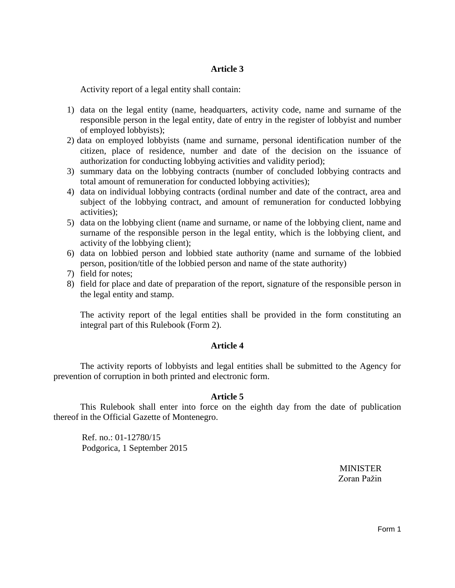# **Article 3**

Activity report of a legal entity shall contain:

- 1) data on the legal entity (name, headquarters, activity code, name and surname of the responsible person in the legal entity, date of entry in the register of lobbyist and number of employed lobbyists);
- 2) data on employed lobbyists (name and surname, personal identification number of the citizen, place of residence, number and date of the decision on the issuance of authorization for conducting lobbying activities and validity period);
- 3) summary data on the lobbying contracts (number of concluded lobbying contracts and total amount of remuneration for conducted lobbying activities);
- 4) data on individual lobbying contracts (ordinal number and date of the contract, area and subject of the lobbying contract, and amount of remuneration for conducted lobbying activities);
- 5) data on the lobbying client (name and surname, or name of the lobbying client, name and surname of the responsible person in the legal entity, which is the lobbying client, and activity of the lobbying client);
- 6) data on lobbied person and lobbied state authority (name and surname of the lobbied person, position/title of the lobbied person and name of the state authority)
- 7) field for notes;
- 8) field for place and date of preparation of the report, signature of the responsible person in the legal entity and stamp.

The activity report of the legal entities shall be provided in the form constituting an integral part of this Rulebook (Form 2).

## **Article 4**

The activity reports of lobbyists and legal entities shall be submitted to the Agency for prevention of corruption in both printed and electronic form.

## **Article 5**

 This Rulebook shall enter into force on the eighth day from the date of publication thereof in the Official Gazette of Montenegro.

Ref. no.: 01-12780/15 Podgorica, 1 September 2015

> MINISTER Zoran Pažin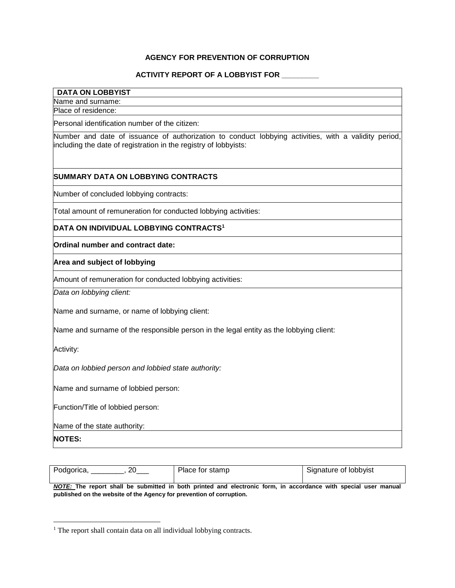## **AGENCY FOR PREVENTION OF CORRUPTION**

#### **ACTIVITY REPORT OF A LOBBYIST FOR \_\_\_\_\_\_\_\_\_**

#### **DATA ON LOBBYIST**

Name and surname:

Place of residence:

Personal identification number of the citizen:

Number and date of issuance of authorization to conduct lobbying activities, with a validity period, including the date of registration in the registry of lobbyists:

#### **SUMMARY DATA ON LOBBYING CONTRACTS**

Number of concluded lobbying contracts:

Total amount of remuneration for conducted lobbying activities:

## **DATA ON INDIVIDUAL LOBBYING CONTRACTS<sup>1</sup>**

**Ordinal number and contract date:**

**Area and subject of lobbying**

Amount of remuneration for conducted lobbying activities:

*Data on lobbying client:*

Name and surname, or name of lobbying client:

Name and surname of the responsible person in the legal entity as the lobbying client:

Activity:

*Data on lobbied person and lobbied state authority:*

Name and surname of lobbied person:

Function/Title of lobbied person:

Name of the state authority:

**NOTES:**

 $\overline{\phantom{a}}$ 

| Podgorica,<br>ንስ | Place for stamp | Signature of lobbyist |
|------------------|-----------------|-----------------------|

*NOTE:* **The report shall be submitted in both printed and electronic form, in accordance with special user manual published on the website of the Agency for prevention of corruption.**

<sup>&</sup>lt;sup>1</sup> The report shall contain data on all individual lobbying contracts.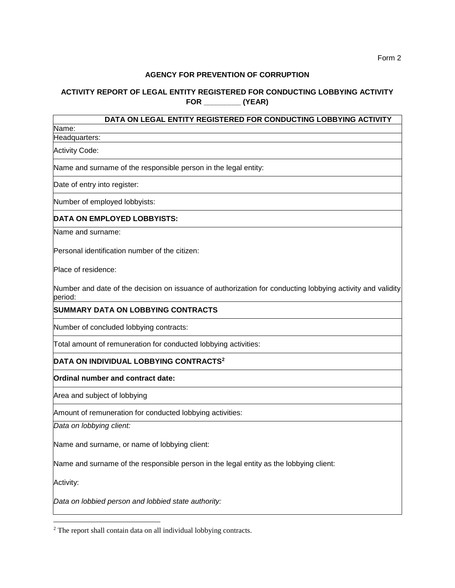#### **AGENCY FOR PREVENTION OF CORRUPTION**

# **ACTIVITY REPORT OF LEGAL ENTITY REGISTERED FOR CONDUCTING LOBBYING ACTIVITY FOR \_\_\_\_\_\_\_\_\_ (YEAR)**

# **DATA ON LEGAL ENTITY REGISTERED FOR CONDUCTING LOBBYING ACTIVITY**

Name: Headquarters:

Activity Code:

Name and surname of the responsible person in the legal entity:

Date of entry into register:

Number of employed lobbyists:

## **DATA ON EMPLOYED LOBBYISTS:**

Name and surname:

Personal identification number of the citizen:

Place of residence:

Number and date of the decision on issuance of authorization for conducting lobbying activity and validity period:

#### **SUMMARY DATA ON LOBBYING CONTRACTS**

Number of concluded lobbying contracts:

Total amount of remuneration for conducted lobbying activities:

#### **DATA ON INDIVIDUAL LOBBYING CONTRACTS<sup>2</sup>**

**Ordinal number and contract date:**

Area and subject of lobbying

Amount of remuneration for conducted lobbying activities:

*Data on lobbying client:*

Name and surname, or name of lobbying client:

Name and surname of the responsible person in the legal entity as the lobbying client:

Activity:

 $\overline{\phantom{a}}$ 

*Data on lobbied person and lobbied state authority:*

<sup>&</sup>lt;sup>2</sup> The report shall contain data on all individual lobbying contracts.